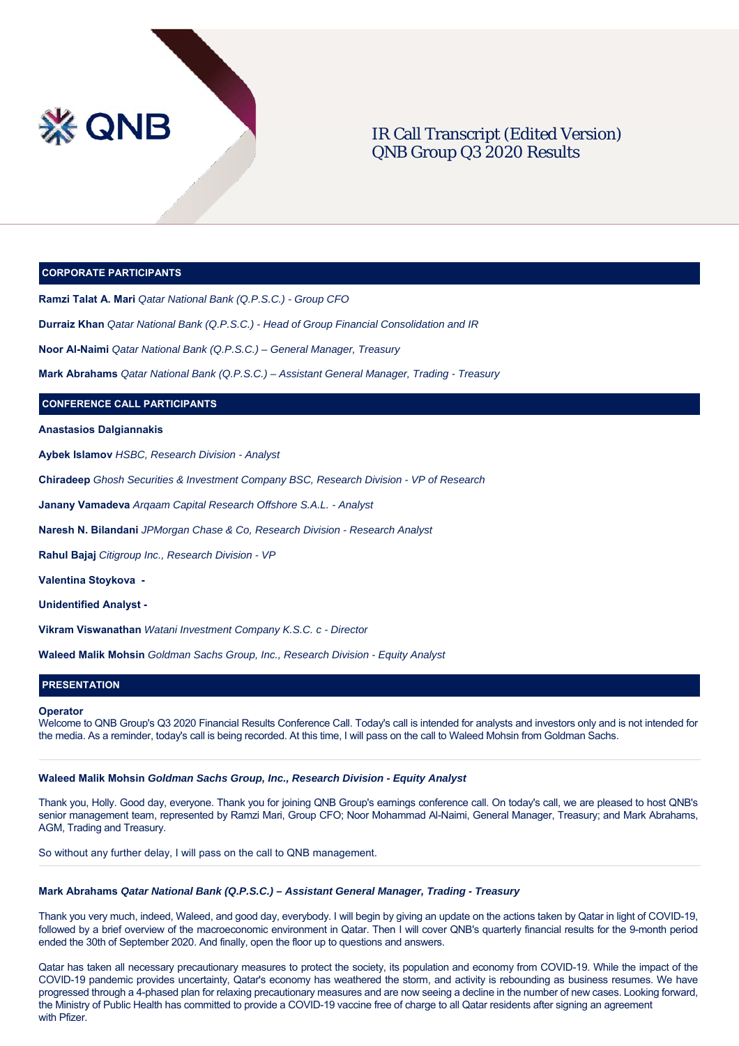

# IR Call Transcript (Edited Version) QNB Group Q3 2020 Results

### **CORPORATE PARTICIPANTS**

**Ramzi Talat A. Mari** *Qatar National Bank (Q.P.S.C.) - Group CFO*

**Durraiz Khan** *Qatar National Bank (Q.P.S.C.) - Head of Group Financial Consolidation and IR*

**Noor Al-Naimi** *Qatar National Bank (Q.P.S.C.) – General Manager, Treasury* 

**Mark Abrahams** *Qatar National Bank (Q.P.S.C.) – Assistant General Manager, Trading - Treasury*

# **CONFERENCE CALL PARTICIPANTS**

**Anastasios Dalgiannakis** 

**Aybek Islamov** *HSBC, Research Division - Analyst*

**Chiradeep** *Ghosh Securities & Investment Company BSC, Research Division - VP of Research* 

**Janany Vamadeva** *Arqaam Capital Research Offshore S.A.L. - Analyst*

**Naresh N. Bilandani** *JPMorgan Chase & Co, Research Division - Research Analyst*

**Rahul Bajaj** *Citigroup Inc., Research Division - VP*

**Valentina Stoykova -** 

**Unidentified Analyst -**

**Vikram Viswanathan** *Watani Investment Company K.S.C. c - Director*

**Waleed Malik Mohsin** *Goldman Sachs Group, Inc., Research Division - Equity Analyst*

# **PRESENTATION**

#### **Operator**

Welcome to QNB Group's Q3 2020 Financial Results Conference Call. Today's call is intended for analysts and investors only and is not intended for the media. As a reminder, today's call is being recorded. At this time, I will pass on the call to Waleed Mohsin from Goldman Sachs.

#### **Waleed Malik Mohsin** *Goldman Sachs Group, Inc., Research Division - Equity Analyst*

Thank you, Holly. Good day, everyone. Thank you for joining QNB Group's earnings conference call. On today's call, we are pleased to host QNB's senior management team, represented by Ramzi Mari, Group CFO; Noor Mohammad Al-Naimi, General Manager, Treasury; and Mark Abrahams, AGM, Trading and Treasury.

So without any further delay, I will pass on the call to QNB management.

### **Mark Abrahams** *Qatar National Bank (Q.P.S.C.) – Assistant General Manager, Trading - Treasury*

Thank you very much, indeed, Waleed, and good day, everybody. I will begin by giving an update on the actions taken by Qatar in light of COVID-19, followed by a brief overview of the macroeconomic environment in Qatar. Then I will cover QNB's quarterly financial results for the 9-month period ended the 30th of September 2020. And finally, open the floor up to questions and answers.

Qatar has taken all necessary precautionary measures to protect the society, its population and economy from COVID-19. While the impact of the COVID-19 pandemic provides uncertainty, Qatar's economy has weathered the storm, and activity is rebounding as business resumes. We have progressed through a 4-phased plan for relaxing precautionary measures and are now seeing a decline in the number of new cases. Looking forward, the Ministry of Public Health has committed to provide a COVID-19 vaccine free of charge to all Qatar residents after signing an agreement with Pfizer.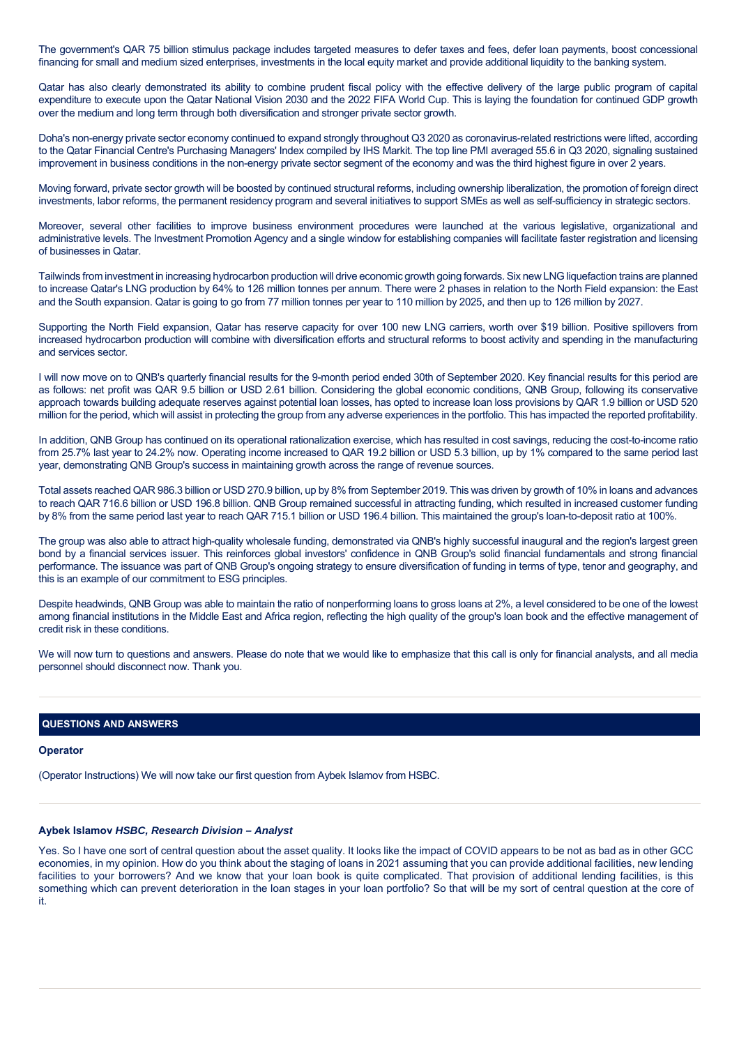The government's QAR 75 billion stimulus package includes targeted measures to defer taxes and fees, defer loan payments, boost concessional financing for small and medium sized enterprises, investments in the local equity market and provide additional liquidity to the banking system.

Qatar has also clearly demonstrated its ability to combine prudent fiscal policy with the effective delivery of the large public program of capital expenditure to execute upon the Qatar National Vision 2030 and the 2022 FIFA World Cup. This is laying the foundation for continued GDP growth over the medium and long term through both diversification and stronger private sector growth.

Doha's non-energy private sector economy continued to expand strongly throughout Q3 2020 as coronavirus-related restrictions were lifted, according to the Qatar Financial Centre's Purchasing Managers' Index compiled by IHS Markit. The top line PMI averaged 55.6 in Q3 2020, signaling sustained improvement in business conditions in the non-energy private sector segment of the economy and was the third highest figure in over 2 years.

Moving forward, private sector growth will be boosted by continued structural reforms, including ownership liberalization, the promotion of foreign direct investments, labor reforms, the permanent residency program and several initiatives to support SMEs as well as self-sufficiency in strategic sectors.

Moreover, several other facilities to improve business environment procedures were launched at the various legislative, organizational and administrative levels. The Investment Promotion Agency and a single window for establishing companies will facilitate faster registration and licensing of businesses in Qatar.

Tailwinds from investment in increasing hydrocarbon production will drive economic growth going forwards. Six new LNG liquefaction trains are planned to increase Qatar's LNG production by 64% to 126 million tonnes per annum. There were 2 phases in relation to the North Field expansion: the East and the South expansion. Qatar is going to go from 77 million tonnes per year to 110 million by 2025, and then up to 126 million by 2027.

Supporting the North Field expansion, Qatar has reserve capacity for over 100 new LNG carriers, worth over \$19 billion. Positive spillovers from increased hydrocarbon production will combine with diversification efforts and structural reforms to boost activity and spending in the manufacturing and services sector.

I will now move on to QNB's quarterly financial results for the 9-month period ended 30th of September 2020. Key financial results for this period are as follows: net profit was QAR 9.5 billion or USD 2.61 billion. Considering the global economic conditions, QNB Group, following its conservative approach towards building adequate reserves against potential loan losses, has opted to increase loan loss provisions by QAR 1.9 billion or USD 520 million for the period, which will assist in protecting the group from any adverse experiences in the portfolio. This has impacted the reported profitability.

In addition, QNB Group has continued on its operational rationalization exercise, which has resulted in cost savings, reducing the cost-to-income ratio from 25.7% last year to 24.2% now. Operating income increased to QAR 19.2 billion or USD 5.3 billion, up by 1% compared to the same period last year, demonstrating QNB Group's success in maintaining growth across the range of revenue sources.

Total assets reached QAR 986.3 billion or USD 270.9 billion, up by 8% from September 2019. This was driven by growth of 10% in loans and advances to reach QAR 716.6 billion or USD 196.8 billion. QNB Group remained successful in attracting funding, which resulted in increased customer funding by 8% from the same period last year to reach QAR 715.1 billion or USD 196.4 billion. This maintained the group's loan-to-deposit ratio at 100%.

The group was also able to attract high-quality wholesale funding, demonstrated via QNB's highly successful inaugural and the region's largest green bond by a financial services issuer. This reinforces global investors' confidence in QNB Group's solid financial fundamentals and strong financial performance. The issuance was part of QNB Group's ongoing strategy to ensure diversification of funding in terms of type, tenor and geography, and this is an example of our commitment to ESG principles.

Despite headwinds, QNB Group was able to maintain the ratio of nonperforming loans to gross loans at 2%, a level considered to be one of the lowest among financial institutions in the Middle East and Africa region, reflecting the high quality of the group's loan book and the effective management of credit risk in these conditions.

We will now turn to questions and answers. Please do note that we would like to emphasize that this call is only for financial analysts, and all media personnel should disconnect now. Thank you.

# **QUESTIONS AND ANSWERS**

#### **Operator**

(Operator Instructions) We will now take our first question from Aybek Islamov from HSBC.

### **Aybek Islamov** *HSBC, Research Division – Analyst*

Yes. So I have one sort of central question about the asset quality. It looks like the impact of COVID appears to be not as bad as in other GCC economies, in my opinion. How do you think about the staging of loans in 2021 assuming that you can provide additional facilities, new lending facilities to your borrowers? And we know that your loan book is quite complicated. That provision of additional lending facilities, is this something which can prevent deterioration in the loan stages in your loan portfolio? So that will be my sort of central question at the core of it.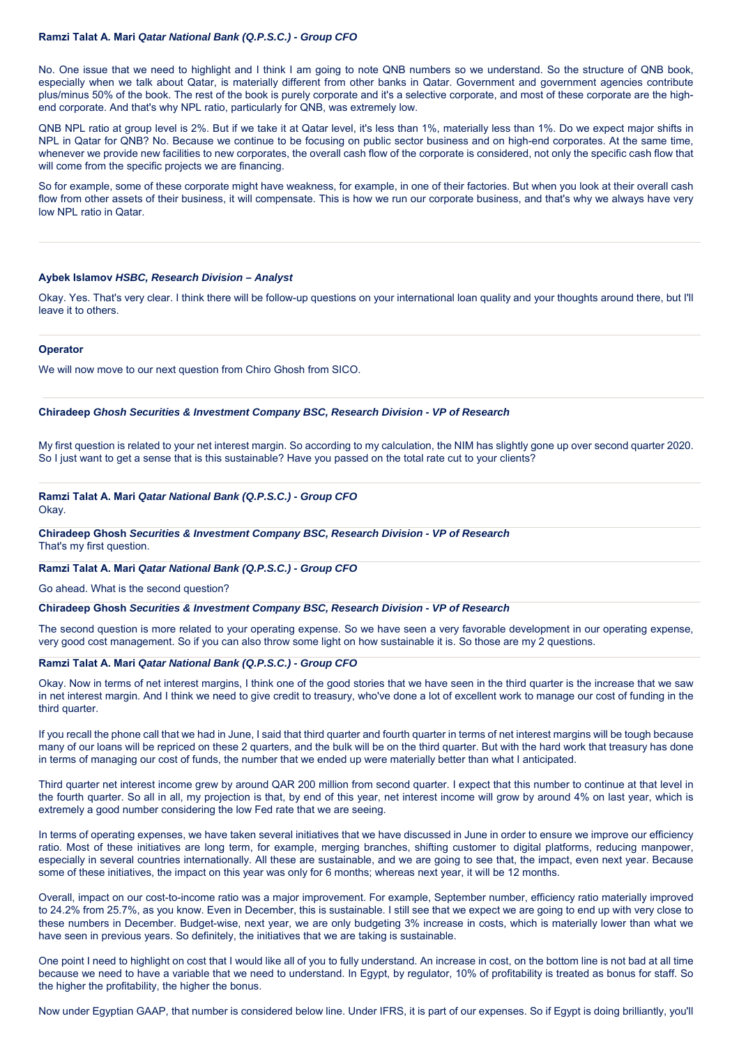## **Ramzi Talat A. Mari** *Qatar National Bank (Q.P.S.C.) - Group CFO*

No. One issue that we need to highlight and I think I am going to note QNB numbers so we understand. So the structure of QNB book, especially when we talk about Qatar, is materially different from other banks in Qatar. Government and government agencies contribute plus/minus 50% of the book. The rest of the book is purely corporate and it's a selective corporate, and most of these corporate are the highend corporate. And that's why NPL ratio, particularly for QNB, was extremely low.

QNB NPL ratio at group level is 2%. But if we take it at Qatar level, it's less than 1%, materially less than 1%. Do we expect major shifts in NPL in Qatar for QNB? No. Because we continue to be focusing on public sector business and on high-end corporates. At the same time, whenever we provide new facilities to new corporates, the overall cash flow of the corporate is considered, not only the specific cash flow that will come from the specific projects we are financing.

So for example, some of these corporate might have weakness, for example, in one of their factories. But when you look at their overall cash flow from other assets of their business, it will compensate. This is how we run our corporate business, and that's why we always have very low NPL ratio in Qatar.

### **Aybek Islamov** *HSBC, Research Division – Analyst*

Okay. Yes. That's very clear. I think there will be follow-up questions on your international loan quality and your thoughts around there, but I'll leave it to others.

# **Operator**

We will now move to our next question from Chiro Ghosh from SICO.

# **Chiradeep** *Ghosh Securities & Investment Company BSC, Research Division - VP of Research*

My first question is related to your net interest margin. So according to my calculation, the NIM has slightly gone up over second quarter 2020. So I just want to get a sense that is this sustainable? Have you passed on the total rate cut to your clients?

# **Ramzi Talat A. Mari** *Qatar National Bank (Q.P.S.C.) - Group CFO*

Okay.

**Chiradeep Ghosh** *Securities & Investment Company BSC, Research Division - VP of Research* That's my first question.

# **Ramzi Talat A. Mari** *Qatar National Bank (Q.P.S.C.) - Group CFO*

Go ahead. What is the second question?

# **Chiradeep Ghosh** *Securities & Investment Company BSC, Research Division - VP of Research*

The second question is more related to your operating expense. So we have seen a very favorable development in our operating expense, very good cost management. So if you can also throw some light on how sustainable it is. So those are my 2 questions.

# **Ramzi Talat A. Mari** *Qatar National Bank (Q.P.S.C.) - Group CFO*

Okay. Now in terms of net interest margins, I think one of the good stories that we have seen in the third quarter is the increase that we saw in net interest margin. And I think we need to give credit to treasury, who've done a lot of excellent work to manage our cost of funding in the third quarter.

If you recall the phone call that we had in June, I said that third quarter and fourth quarter in terms of net interest margins will be tough because many of our loans will be repriced on these 2 quarters, and the bulk will be on the third quarter. But with the hard work that treasury has done in terms of managing our cost of funds, the number that we ended up were materially better than what I anticipated.

Third quarter net interest income grew by around QAR 200 million from second quarter. I expect that this number to continue at that level in the fourth quarter. So all in all, my projection is that, by end of this year, net interest income will grow by around 4% on last year, which is extremely a good number considering the low Fed rate that we are seeing.

In terms of operating expenses, we have taken several initiatives that we have discussed in June in order to ensure we improve our efficiency ratio. Most of these initiatives are long term, for example, merging branches, shifting customer to digital platforms, reducing manpower, especially in several countries internationally. All these are sustainable, and we are going to see that, the impact, even next year. Because some of these initiatives, the impact on this year was only for 6 months; whereas next year, it will be 12 months.

Overall, impact on our cost-to-income ratio was a major improvement. For example, September number, efficiency ratio materially improved to 24.2% from 25.7%, as you know. Even in December, this is sustainable. I still see that we expect we are going to end up with very close to these numbers in December. Budget-wise, next year, we are only budgeting 3% increase in costs, which is materially lower than what we have seen in previous years. So definitely, the initiatives that we are taking is sustainable.

One point I need to highlight on cost that I would like all of you to fully understand. An increase in cost, on the bottom line is not bad at all time because we need to have a variable that we need to understand. In Egypt, by regulator, 10% of profitability is treated as bonus for staff. So the higher the profitability, the higher the bonus.

Now under Egyptian GAAP, that number is considered below line. Under IFRS, it is part of our expenses. So if Egypt is doing brilliantly, you'll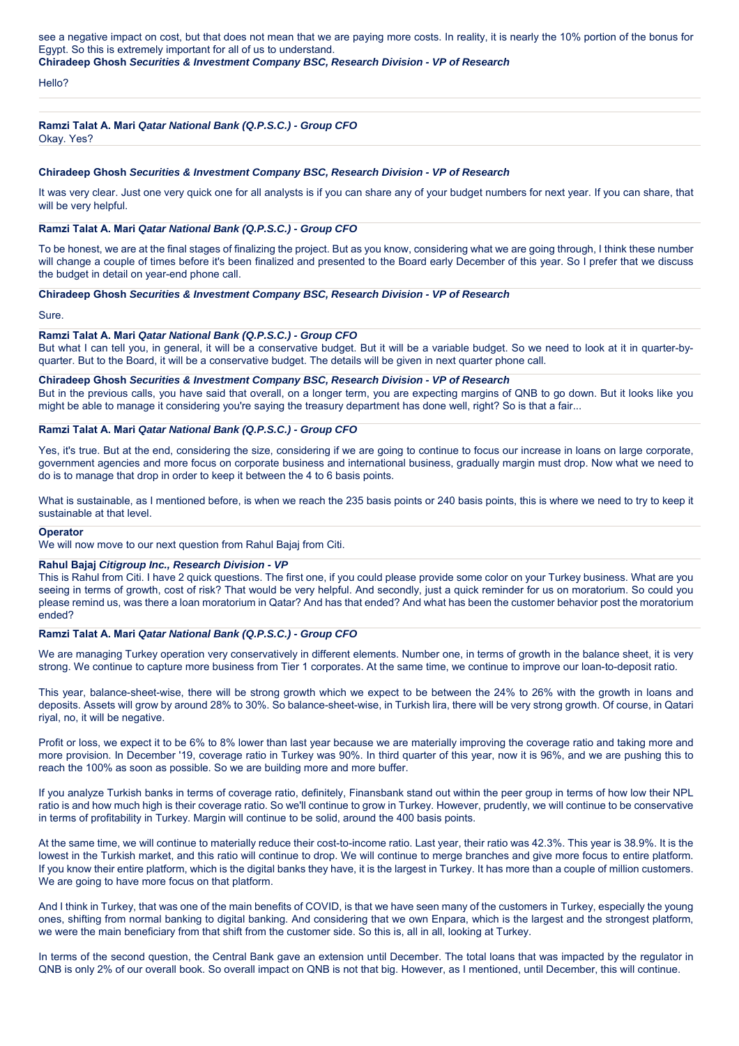see a negative impact on cost, but that does not mean that we are paying more costs. In reality, it is nearly the 10% portion of the bonus for Egypt. So this is extremely important for all of us to understand.

**Chiradeep Ghosh** *Securities & Investment Company BSC, Research Division - VP of Research*

Hello?

### **Ramzi Talat A. Mari** *Qatar National Bank (Q.P.S.C.) - Group CFO*

Okay. Yes?

#### **Chiradeep Ghosh** *Securities & Investment Company BSC, Research Division - VP of Research*

It was very clear. Just one very quick one for all analysts is if you can share any of your budget numbers for next year. If you can share, that will be very helpful.

# **Ramzi Talat A. Mari** *Qatar National Bank (Q.P.S.C.) - Group CFO*

To be honest, we are at the final stages of finalizing the project. But as you know, considering what we are going through, I think these number will change a couple of times before it's been finalized and presented to the Board early December of this year. So I prefer that we discuss the budget in detail on year-end phone call.

## **Chiradeep Ghosh** *Securities & Investment Company BSC, Research Division - VP of Research*

Sure.

### **Ramzi Talat A. Mari** *Qatar National Bank (Q.P.S.C.) - Group CFO*

But what I can tell you, in general, it will be a conservative budget. But it will be a variable budget. So we need to look at it in quarter-byquarter. But to the Board, it will be a conservative budget. The details will be given in next quarter phone call.

**Chiradeep Ghosh** *Securities & Investment Company BSC, Research Division - VP of Research* But in the previous calls, you have said that overall, on a longer term, you are expecting margins of QNB to go down. But it looks like you might be able to manage it considering you're saying the treasury department has done well, right? So is that a fair...

# **Ramzi Talat A. Mari** *Qatar National Bank (Q.P.S.C.) - Group CFO*

Yes, it's true. But at the end, considering the size, considering if we are going to continue to focus our increase in loans on large corporate, government agencies and more focus on corporate business and international business, gradually margin must drop. Now what we need to do is to manage that drop in order to keep it between the 4 to 6 basis points.

What is sustainable, as I mentioned before, is when we reach the 235 basis points or 240 basis points, this is where we need to try to keep it sustainable at that level.

#### **Operator**

We will now move to our next question from Rahul Bajaj from Citi.

#### **Rahul Bajaj** *Citigroup Inc., Research Division - VP*

This is Rahul from Citi. I have 2 quick questions. The first one, if you could please provide some color on your Turkey business. What are you seeing in terms of growth, cost of risk? That would be very helpful. And secondly, just a quick reminder for us on moratorium. So could you please remind us, was there a loan moratorium in Qatar? And has that ended? And what has been the customer behavior post the moratorium ended?

### **Ramzi Talat A. Mari** *Qatar National Bank (Q.P.S.C.) - Group CFO*

We are managing Turkey operation very conservatively in different elements. Number one, in terms of growth in the balance sheet, it is very strong. We continue to capture more business from Tier 1 corporates. At the same time, we continue to improve our loan-to-deposit ratio.

This year, balance-sheet-wise, there will be strong growth which we expect to be between the 24% to 26% with the growth in loans and deposits. Assets will grow by around 28% to 30%. So balance-sheet-wise, in Turkish lira, there will be very strong growth. Of course, in Qatari riyal, no, it will be negative.

Profit or loss, we expect it to be 6% to 8% lower than last year because we are materially improving the coverage ratio and taking more and more provision. In December '19, coverage ratio in Turkey was 90%. In third quarter of this year, now it is 96%, and we are pushing this to reach the 100% as soon as possible. So we are building more and more buffer.

If you analyze Turkish banks in terms of coverage ratio, definitely, Finansbank stand out within the peer group in terms of how low their NPL ratio is and how much high is their coverage ratio. So we'll continue to grow in Turkey. However, prudently, we will continue to be conservative in terms of profitability in Turkey. Margin will continue to be solid, around the 400 basis points.

At the same time, we will continue to materially reduce their cost-to-income ratio. Last year, their ratio was 42.3%. This year is 38.9%. It is the lowest in the Turkish market, and this ratio will continue to drop. We will continue to merge branches and give more focus to entire platform. If you know their entire platform, which is the digital banks they have, it is the largest in Turkey. It has more than a couple of million customers. We are going to have more focus on that platform.

And I think in Turkey, that was one of the main benefits of COVID, is that we have seen many of the customers in Turkey, especially the young ones, shifting from normal banking to digital banking. And considering that we own Enpara, which is the largest and the strongest platform, we were the main beneficiary from that shift from the customer side. So this is, all in all, looking at Turkey.

In terms of the second question, the Central Bank gave an extension until December. The total loans that was impacted by the regulator in QNB is only 2% of our overall book. So overall impact on QNB is not that big. However, as I mentioned, until December, this will continue.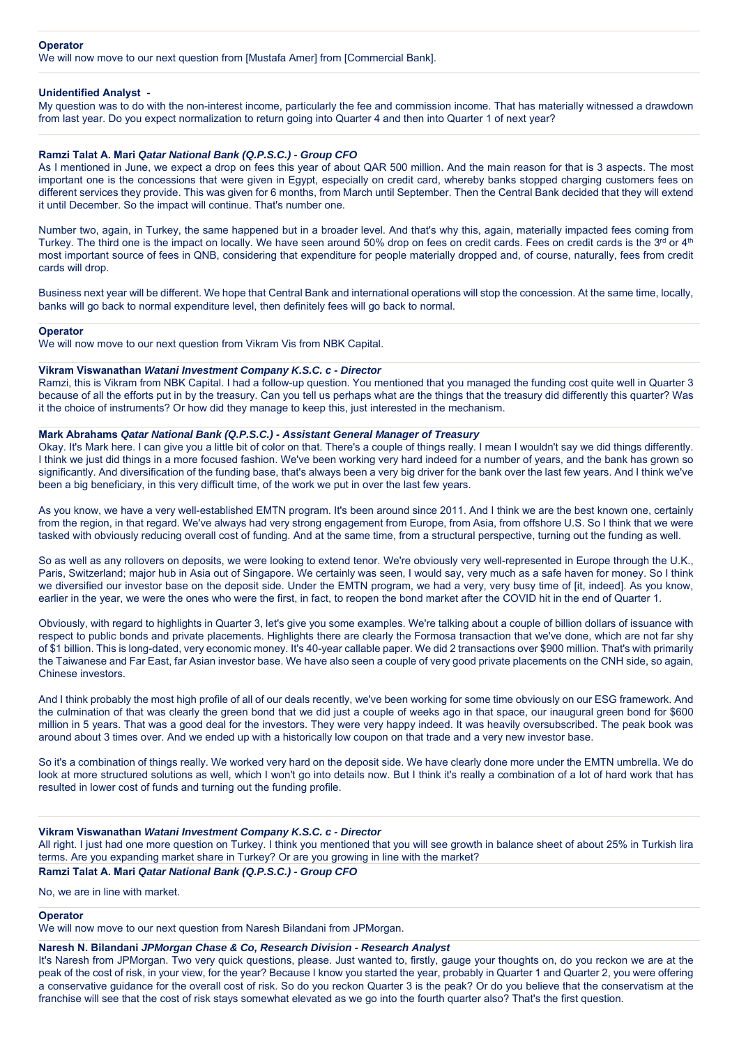#### **Operator**

We will now move to our next question from [Mustafa Amer] from [Commercial Bank].

#### **Unidentified Analyst -**

My question was to do with the non-interest income, particularly the fee and commission income. That has materially witnessed a drawdown from last year. Do you expect normalization to return going into Quarter 4 and then into Quarter 1 of next year?

### **Ramzi Talat A. Mari** *Qatar National Bank (Q.P.S.C.) - Group CFO*

As I mentioned in June, we expect a drop on fees this year of about QAR 500 million. And the main reason for that is 3 aspects. The most important one is the concessions that were given in Egypt, especially on credit card, whereby banks stopped charging customers fees on different services they provide. This was given for 6 months, from March until September. Then the Central Bank decided that they will extend it until December. So the impact will continue. That's number one.

Number two, again, in Turkey, the same happened but in a broader level. And that's why this, again, materially impacted fees coming from Turkey. The third one is the impact on locally. We have seen around 50% drop on fees on credit cards. Fees on credit cards is the 3<sup>rd</sup> or 4<sup>th</sup> most important source of fees in QNB, considering that expenditure for people materially dropped and, of course, naturally, fees from credit cards will drop.

Business next year will be different. We hope that Central Bank and international operations will stop the concession. At the same time, locally, banks will go back to normal expenditure level, then definitely fees will go back to normal.

#### **Operator**

We will now move to our next question from Vikram Vis from NBK Capital.

#### **Vikram Viswanathan** *Watani Investment Company K.S.C. c - Director*

Ramzi, this is Vikram from NBK Capital. I had a follow-up question. You mentioned that you managed the funding cost quite well in Quarter 3 because of all the efforts put in by the treasury. Can you tell us perhaps what are the things that the treasury did differently this quarter? Was it the choice of instruments? Or how did they manage to keep this, just interested in the mechanism.

### **Mark Abrahams** *Qatar National Bank (Q.P.S.C.) - Assistant General Manager of Treasury*

Okay. It's Mark here. I can give you a little bit of color on that. There's a couple of things really. I mean I wouldn't say we did things differently. I think we just did things in a more focused fashion. We've been working very hard indeed for a number of years, and the bank has grown so significantly. And diversification of the funding base, that's always been a very big driver for the bank over the last few years. And I think we've been a big beneficiary, in this very difficult time, of the work we put in over the last few years.

As you know, we have a very well-established EMTN program. It's been around since 2011. And I think we are the best known one, certainly from the region, in that regard. We've always had very strong engagement from Europe, from Asia, from offshore U.S. So I think that we were tasked with obviously reducing overall cost of funding. And at the same time, from a structural perspective, turning out the funding as well.

So as well as any rollovers on deposits, we were looking to extend tenor. We're obviously very well-represented in Europe through the U.K., Paris, Switzerland; major hub in Asia out of Singapore. We certainly was seen, I would say, very much as a safe haven for money. So I think we diversified our investor base on the deposit side. Under the EMTN program, we had a very, very busy time of [it, indeed]. As you know, earlier in the year, we were the ones who were the first, in fact, to reopen the bond market after the COVID hit in the end of Quarter 1.

Obviously, with regard to highlights in Quarter 3, let's give you some examples. We're talking about a couple of billion dollars of issuance with respect to public bonds and private placements. Highlights there are clearly the Formosa transaction that we've done, which are not far shy of \$1 billion. This is long-dated, very economic money. It's 40-year callable paper. We did 2 transactions over \$900 million. That's with primarily the Taiwanese and Far East, far Asian investor base. We have also seen a couple of very good private placements on the CNH side, so again, Chinese investors.

And I think probably the most high profile of all of our deals recently, we've been working for some time obviously on our ESG framework. And the culmination of that was clearly the green bond that we did just a couple of weeks ago in that space, our inaugural green bond for \$600 million in 5 years. That was a good deal for the investors. They were very happy indeed. It was heavily oversubscribed. The peak book was around about 3 times over. And we ended up with a historically low coupon on that trade and a very new investor base.

So it's a combination of things really. We worked very hard on the deposit side. We have clearly done more under the EMTN umbrella. We do look at more structured solutions as well, which I won't go into details now. But I think it's really a combination of a lot of hard work that has resulted in lower cost of funds and turning out the funding profile.

#### **Vikram Viswanathan** *Watani Investment Company K.S.C. c - Director*

All right. I just had one more question on Turkey. I think you mentioned that you will see growth in balance sheet of about 25% in Turkish lira terms. Are you expanding market share in Turkey? Or are you growing in line with the market?

# **Ramzi Talat A. Mari** *Qatar National Bank (Q.P.S.C.) - Group CFO*

No, we are in line with market.

### **Operator**

We will now move to our next question from Naresh Bilandani from JPMorgan.

# **Naresh N. Bilandani** *JPMorgan Chase & Co, Research Division - Research Analyst*

It's Naresh from JPMorgan. Two very quick questions, please. Just wanted to, firstly, gauge your thoughts on, do you reckon we are at the peak of the cost of risk, in your view, for the year? Because I know you started the year, probably in Quarter 1 and Quarter 2, you were offering a conservative guidance for the overall cost of risk. So do you reckon Quarter 3 is the peak? Or do you believe that the conservatism at the franchise will see that the cost of risk stays somewhat elevated as we go into the fourth quarter also? That's the first question.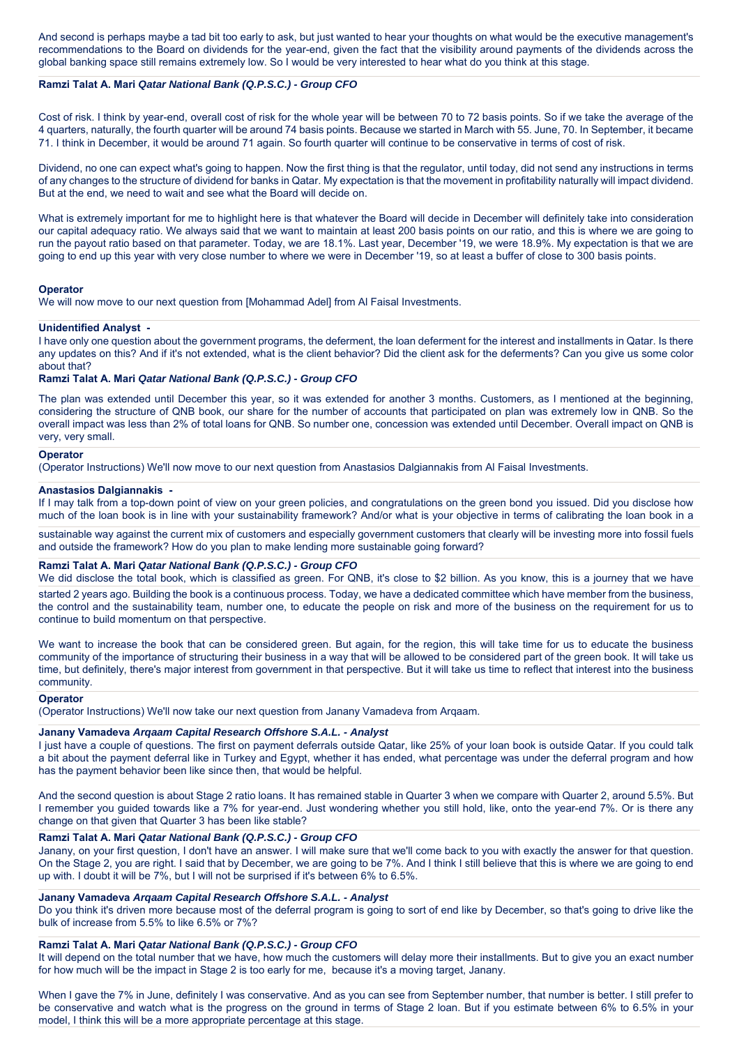And second is perhaps maybe a tad bit too early to ask, but just wanted to hear your thoughts on what would be the executive management's recommendations to the Board on dividends for the year-end, given the fact that the visibility around payments of the dividends across the global banking space still remains extremely low. So I would be very interested to hear what do you think at this stage.

# **Ramzi Talat A. Mari** *Qatar National Bank (Q.P.S.C.) - Group CFO*

Cost of risk. I think by year-end, overall cost of risk for the whole year will be between 70 to 72 basis points. So if we take the average of the 4 quarters, naturally, the fourth quarter will be around 74 basis points. Because we started in March with 55. June, 70. In September, it became 71. I think in December, it would be around 71 again. So fourth quarter will continue to be conservative in terms of cost of risk.

Dividend, no one can expect what's going to happen. Now the first thing is that the regulator, until today, did not send any instructions in terms of any changes to the structure of dividend for banks in Qatar. My expectation is that the movement in profitability naturally will impact dividend. But at the end, we need to wait and see what the Board will decide on.

What is extremely important for me to highlight here is that whatever the Board will decide in December will definitely take into consideration our capital adequacy ratio. We always said that we want to maintain at least 200 basis points on our ratio, and this is where we are going to run the payout ratio based on that parameter. Today, we are 18.1%. Last year, December '19, we were 18.9%. My expectation is that we are going to end up this year with very close number to where we were in December '19, so at least a buffer of close to 300 basis points.

### **Operator**

We will now move to our next question from [Mohammad Adel] from Al Faisal Investments.

### **Unidentified Analyst -**

I have only one question about the government programs, the deferment, the loan deferment for the interest and installments in Qatar. Is there any updates on this? And if it's not extended, what is the client behavior? Did the client ask for the deferments? Can you give us some color about that?

# **Ramzi Talat A. Mari** *Qatar National Bank (Q.P.S.C.) - Group CFO*

The plan was extended until December this year, so it was extended for another 3 months. Customers, as I mentioned at the beginning, considering the structure of QNB book, our share for the number of accounts that participated on plan was extremely low in QNB. So the overall impact was less than 2% of total loans for QNB. So number one, concession was extended until December. Overall impact on QNB is very, very small.

#### **Operator**

(Operator Instructions) We'll now move to our next question from Anastasios Dalgiannakis from Al Faisal Investments.

# **Anastasios Dalgiannakis -**

If I may talk from a top-down point of view on your green policies, and congratulations on the green bond you issued. Did you disclose how much of the loan book is in line with your sustainability framework? And/or what is your objective in terms of calibrating the loan book in a

sustainable way against the current mix of customers and especially government customers that clearly will be investing more into fossil fuels and outside the framework? How do you plan to make lending more sustainable going forward?

# **Ramzi Talat A. Mari** *Qatar National Bank (Q.P.S.C.) - Group CFO*

We did disclose the total book, which is classified as green. For QNB, it's close to \$2 billion. As you know, this is a journey that we have started 2 years ago. Building the book is a continuous process. Today, we have a dedicated committee which have member from the business, the control and the sustainability team, number one, to educate the people on risk and more of the business on the requirement for us to continue to build momentum on that perspective.

We want to increase the book that can be considered green. But again, for the region, this will take time for us to educate the business community of the importance of structuring their business in a way that will be allowed to be considered part of the green book. It will take us time, but definitely, there's major interest from government in that perspective. But it will take us time to reflect that interest into the business community.

#### **Operator**

(Operator Instructions) We'll now take our next question from Janany Vamadeva from Arqaam.

## **Janany Vamadeva** *Arqaam Capital Research Offshore S.A.L. - Analyst*

I just have a couple of questions. The first on payment deferrals outside Qatar, like 25% of your loan book is outside Qatar. If you could talk a bit about the payment deferral like in Turkey and Egypt, whether it has ended, what percentage was under the deferral program and how has the payment behavior been like since then, that would be helpful.

And the second question is about Stage 2 ratio loans. It has remained stable in Quarter 3 when we compare with Quarter 2, around 5.5%. But I remember you guided towards like a 7% for year-end. Just wondering whether you still hold, like, onto the year-end 7%. Or is there any change on that given that Quarter 3 has been like stable?

# **Ramzi Talat A. Mari** *Qatar National Bank (Q.P.S.C.) - Group CFO*

Janany, on your first question, I don't have an answer. I will make sure that we'll come back to you with exactly the answer for that question. On the Stage 2, you are right. I said that by December, we are going to be 7%. And I think I still believe that this is where we are going to end up with. I doubt it will be 7%, but I will not be surprised if it's between 6% to 6.5%.

#### **Janany Vamadeva** *Arqaam Capital Research Offshore S.A.L. - Analyst*

Do you think it's driven more because most of the deferral program is going to sort of end like by December, so that's going to drive like the bulk of increase from 5.5% to like 6.5% or 7%?

# **Ramzi Talat A. Mari** *Qatar National Bank (Q.P.S.C.) - Group CFO*

It will depend on the total number that we have, how much the customers will delay more their installments. But to give you an exact number for how much will be the impact in Stage 2 is too early for me, because it's a moving target, Janany.

When I gave the 7% in June, definitely I was conservative. And as you can see from September number, that number is better. I still prefer to be conservative and watch what is the progress on the ground in terms of Stage 2 loan. But if you estimate between 6% to 6.5% in your model, I think this will be a more appropriate percentage at this stage.